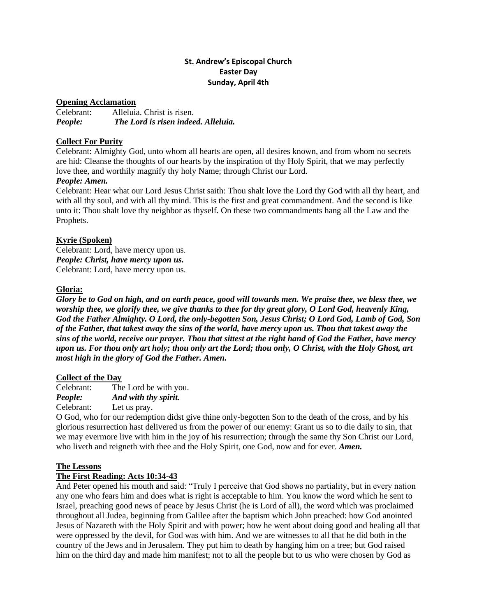# **St. Andrew's Episcopal Church Easter Day Sunday, April 4th**

## **Opening Acclamation**

Celebrant: Alleluia. Christ is risen. *People: The Lord is risen indeed. Alleluia.*

## **Collect For Purity**

Celebrant: Almighty God, unto whom all hearts are open, all desires known, and from whom no secrets are hid: Cleanse the thoughts of our hearts by the inspiration of thy Holy Spirit, that we may perfectly love thee, and worthily magnify thy holy Name; through Christ our Lord.

### *People: Amen.*

Celebrant: Hear what our Lord Jesus Christ saith: Thou shalt love the Lord thy God with all thy heart, and with all thy soul, and with all thy mind. This is the first and great commandment. And the second is like unto it: Thou shalt love thy neighbor as thyself. On these two commandments hang all the Law and the Prophets.

## **Kyrie (Spoken)**

Celebrant: Lord, have mercy upon us. *People: Christ, have mercy upon us.* Celebrant: Lord, have mercy upon us.

### **Gloria:**

*Glory be to God on high, and on earth peace, good will towards men. We praise thee, we bless thee, we worship thee, we glorify thee, we give thanks to thee for thy great glory, O Lord God, heavenly King, God the Father Almighty. O Lord, the only-begotten Son, Jesus Christ; O Lord God, Lamb of God, Son of the Father, that takest away the sins of the world, have mercy upon us. Thou that takest away the sins of the world, receive our prayer. Thou that sittest at the right hand of God the Father, have mercy upon us. For thou only art holy; thou only art the Lord; thou only, O Christ, with the Holy Ghost, art most high in the glory of God the Father. Amen.*

### **Collect of the Day**

Celebrant: The Lord be with you.

*People: And with thy spirit.*

Celebrant: Let us pray.

O God, who for our redemption didst give thine only-begotten Son to the death of the cross, and by his glorious resurrection hast delivered us from the power of our enemy: Grant us so to die daily to sin, that we may evermore live with him in the joy of his resurrection; through the same thy Son Christ our Lord, who liveth and reigneth with thee and the Holy Spirit, one God, now and for ever. *Amen.*

#### **The Lessons**

## **The First Reading: Acts 10:34-43**

And Peter opened his mouth and said: "Truly I perceive that God shows no partiality, but in every nation any one who fears him and does what is right is acceptable to him. You know the word which he sent to Israel, preaching good news of peace by Jesus Christ (he is Lord of all), the word which was proclaimed throughout all Judea, beginning from Galilee after the baptism which John preached: how God anointed Jesus of Nazareth with the Holy Spirit and with power; how he went about doing good and healing all that were oppressed by the devil, for God was with him. And we are witnesses to all that he did both in the country of the Jews and in Jerusalem. They put him to death by hanging him on a tree; but God raised him on the third day and made him manifest; not to all the people but to us who were chosen by God as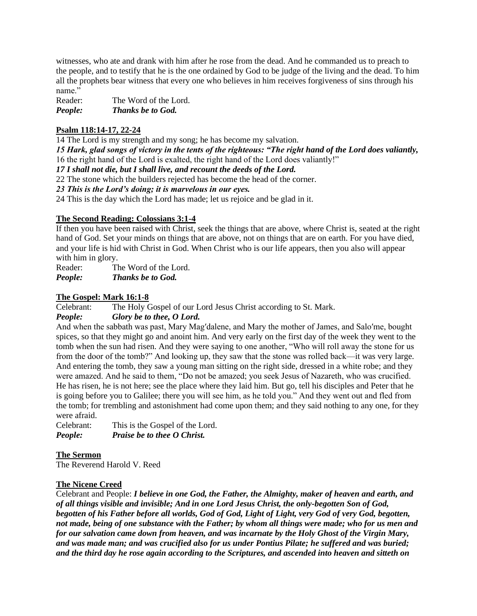witnesses, who ate and drank with him after he rose from the dead. And he commanded us to preach to the people, and to testify that he is the one ordained by God to be judge of the living and the dead. To him all the prophets bear witness that every one who believes in him receives forgiveness of sins through his name."

| Reader: | The Word of the Lord.    |
|---------|--------------------------|
| People: | <b>Thanks be to God.</b> |

# **Psalm 118:14-17, 22-24**

14 The Lord is my strength and my song; he has become my salvation.

*15 Hark, glad songs of victory in the tents of the righteous: "The right hand of the Lord does valiantly,* 16 the right hand of the Lord is exalted, the right hand of the Lord does valiantly!"

*17 I shall not die, but I shall live, and recount the deeds of the Lord.*

22 The stone which the builders rejected has become the head of the corner.

*23 This is the Lord's doing; it is marvelous in our eyes.*

24 This is the day which the Lord has made; let us rejoice and be glad in it.

# **The Second Reading: Colossians 3:1-4**

If then you have been raised with Christ, seek the things that are above, where Christ is, seated at the right hand of God. Set your minds on things that are above, not on things that are on earth. For you have died, and your life is hid with Christ in God. When Christ who is our life appears, then you also will appear with him in glory.

Reader: The Word of the Lord. *People: Thanks be to God.*

## **The Gospel: Mark 16:1-8**

Celebrant: The Holy Gospel of our Lord Jesus Christ according to St. Mark. *People: Glory be to thee, O Lord.*

And when the sabbath was past, Mary Mag′dalene, and Mary the mother of James, and Salo′me, bought spices, so that they might go and anoint him. And very early on the first day of the week they went to the tomb when the sun had risen. And they were saying to one another, "Who will roll away the stone for us from the door of the tomb?" And looking up, they saw that the stone was rolled back—it was very large. And entering the tomb, they saw a young man sitting on the right side, dressed in a white robe; and they were amazed. And he said to them, "Do not be amazed; you seek Jesus of Nazareth, who was crucified. He has risen, he is not here; see the place where they laid him. But go, tell his disciples and Peter that he is going before you to Galilee; there you will see him, as he told you." And they went out and fled from the tomb; for trembling and astonishment had come upon them; and they said nothing to any one, for they were afraid.

Celebrant: This is the Gospel of the Lord. *People: Praise be to thee O Christ.*

# **The Sermon**

The Reverend Harold V. Reed

## **The Nicene Creed**

Celebrant and People: *I believe in one God, the Father, the Almighty, maker of heaven and earth, and of all things visible and invisible; And in one Lord Jesus Christ, the only-begotten Son of God, begotten of his Father before all worlds, God of God, Light of Light, very God of very God, begotten, not made, being of one substance with the Father; by whom all things were made; who for us men and for our salvation came down from heaven, and was incarnate by the Holy Ghost of the Virgin Mary, and was made man; and was crucified also for us under Pontius Pilate; he suffered and was buried; and the third day he rose again according to the Scriptures, and ascended into heaven and sitteth on*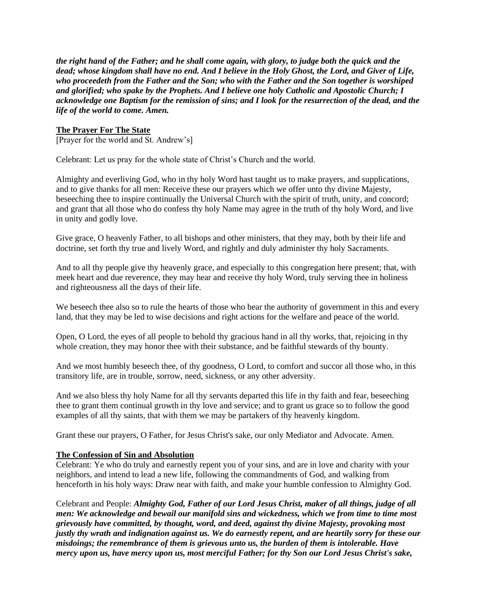*the right hand of the Father; and he shall come again, with glory, to judge both the quick and the dead; whose kingdom shall have no end. And I believe in the Holy Ghost, the Lord, and Giver of Life, who proceedeth from the Father and the Son; who with the Father and the Son together is worshiped and glorified; who spake by the Prophets. And I believe one holy Catholic and Apostolic Church; I acknowledge one Baptism for the remission of sins; and I look for the resurrection of the dead, and the life of the world to come. Amen.*

# **The Prayer For The State**

[Prayer for the world and St. Andrew's]

Celebrant: Let us pray for the whole state of Christ's Church and the world.

Almighty and everliving God, who in thy holy Word hast taught us to make prayers, and supplications, and to give thanks for all men: Receive these our prayers which we offer unto thy divine Majesty, beseeching thee to inspire continually the Universal Church with the spirit of truth, unity, and concord; and grant that all those who do confess thy holy Name may agree in the truth of thy holy Word, and live in unity and godly love.

Give grace, O heavenly Father, to all bishops and other ministers, that they may, both by their life and doctrine, set forth thy true and lively Word, and rightly and duly administer thy holy Sacraments.

And to all thy people give thy heavenly grace, and especially to this congregation here present; that, with meek heart and due reverence, they may hear and receive thy holy Word, truly serving thee in holiness and righteousness all the days of their life.

We beseech thee also so to rule the hearts of those who bear the authority of government in this and every land, that they may be led to wise decisions and right actions for the welfare and peace of the world.

Open, O Lord, the eyes of all people to behold thy gracious hand in all thy works, that, rejoicing in thy whole creation, they may honor thee with their substance, and be faithful stewards of thy bounty.

And we most humbly beseech thee, of thy goodness, O Lord, to comfort and succor all those who, in this transitory life, are in trouble, sorrow, need, sickness, or any other adversity.

And we also bless thy holy Name for all thy servants departed this life in thy faith and fear, beseeching thee to grant them continual growth in thy love and service; and to grant us grace so to follow the good examples of all thy saints, that with them we may be partakers of thy heavenly kingdom.

Grant these our prayers, O Father, for Jesus Christ's sake, our only Mediator and Advocate. Amen.

## **The Confession of Sin and Absolution**

Celebrant: Ye who do truly and earnestly repent you of your sins, and are in love and charity with your neighbors, and intend to lead a new life, following the commandments of God, and walking from henceforth in his holy ways: Draw near with faith, and make your humble confession to Almighty God.

Celebrant and People: *Almighty God, Father of our Lord Jesus Christ, maker of all things, judge of all men: We acknowledge and bewail our manifold sins and wickedness, which we from time to time most grievously have committed, by thought, word, and deed, against thy divine Majesty, provoking most justly thy wrath and indignation against us. We do earnestly repent, and are heartily sorry for these our misdoings; the remembrance of them is grievous unto us, the burden of them is intolerable. Have mercy upon us, have mercy upon us, most merciful Father; for thy Son our Lord Jesus Christ's sake,*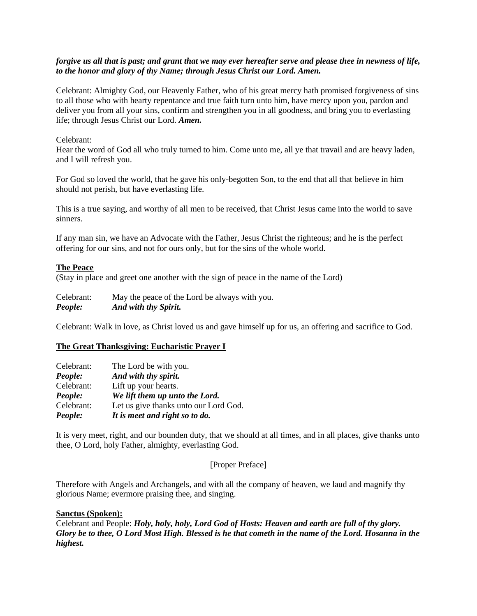## *forgive us all that is past; and grant that we may ever hereafter serve and please thee in newness of life, to the honor and glory of thy Name; through Jesus Christ our Lord. Amen.*

Celebrant: Almighty God, our Heavenly Father, who of his great mercy hath promised forgiveness of sins to all those who with hearty repentance and true faith turn unto him, have mercy upon you, pardon and deliver you from all your sins, confirm and strengthen you in all goodness, and bring you to everlasting life; through Jesus Christ our Lord. *Amen.*

### Celebrant:

Hear the word of God all who truly turned to him. Come unto me, all ye that travail and are heavy laden, and I will refresh you.

For God so loved the world, that he gave his only-begotten Son, to the end that all that believe in him should not perish, but have everlasting life.

This is a true saying, and worthy of all men to be received, that Christ Jesus came into the world to save sinners.

If any man sin, we have an Advocate with the Father, Jesus Christ the righteous; and he is the perfect offering for our sins, and not for ours only, but for the sins of the whole world.

### **The Peace**

(Stay in place and greet one another with the sign of peace in the name of the Lord)

| Celebrant: | May the peace of the Lord be always with you. |
|------------|-----------------------------------------------|
| People:    | And with thy Spirit.                          |

Celebrant: Walk in love, as Christ loved us and gave himself up for us, an offering and sacrifice to God.

#### **The Great Thanksgiving: Eucharistic Prayer I**

| Celebrant: | The Lord be with you.                 |
|------------|---------------------------------------|
| People:    | And with thy spirit.                  |
| Celebrant: | Lift up your hearts.                  |
| People:    | We lift them up unto the Lord.        |
| Celebrant: | Let us give thanks unto our Lord God. |
| People:    | It is meet and right so to do.        |

It is very meet, right, and our bounden duty, that we should at all times, and in all places, give thanks unto thee, O Lord, holy Father, almighty, everlasting God.

## [Proper Preface]

Therefore with Angels and Archangels, and with all the company of heaven, we laud and magnify thy glorious Name; evermore praising thee, and singing.

#### **Sanctus (Spoken):**

Celebrant and People: *Holy, holy, holy, Lord God of Hosts: Heaven and earth are full of thy glory. Glory be to thee, O Lord Most High. Blessed is he that cometh in the name of the Lord. Hosanna in the highest.*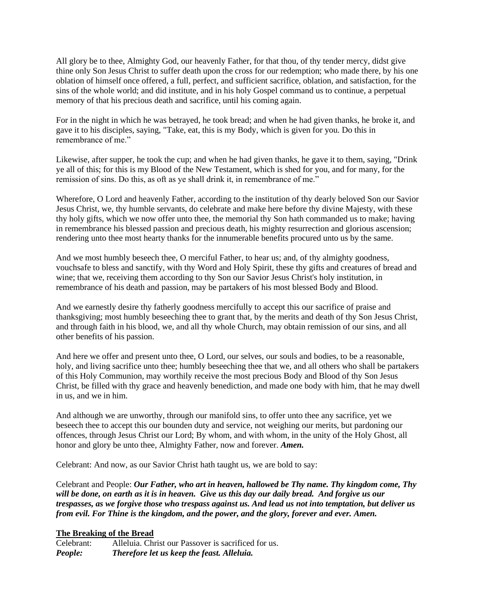All glory be to thee, Almighty God, our heavenly Father, for that thou, of thy tender mercy, didst give thine only Son Jesus Christ to suffer death upon the cross for our redemption; who made there, by his one oblation of himself once offered, a full, perfect, and sufficient sacrifice, oblation, and satisfaction, for the sins of the whole world; and did institute, and in his holy Gospel command us to continue, a perpetual memory of that his precious death and sacrifice, until his coming again.

For in the night in which he was betrayed, he took bread; and when he had given thanks, he broke it, and gave it to his disciples, saying, "Take, eat, this is my Body, which is given for you. Do this in remembrance of me."

Likewise, after supper, he took the cup; and when he had given thanks, he gave it to them, saying, "Drink ye all of this; for this is my Blood of the New Testament, which is shed for you, and for many, for the remission of sins. Do this, as oft as ye shall drink it, in remembrance of me."

Wherefore, O Lord and heavenly Father, according to the institution of thy dearly beloved Son our Savior Jesus Christ, we, thy humble servants, do celebrate and make here before thy divine Majesty, with these thy holy gifts, which we now offer unto thee, the memorial thy Son hath commanded us to make; having in remembrance his blessed passion and precious death, his mighty resurrection and glorious ascension; rendering unto thee most hearty thanks for the innumerable benefits procured unto us by the same.

And we most humbly beseech thee, O merciful Father, to hear us; and, of thy almighty goodness, vouchsafe to bless and sanctify, with thy Word and Holy Spirit, these thy gifts and creatures of bread and wine; that we, receiving them according to thy Son our Savior Jesus Christ's holy institution, in remembrance of his death and passion, may be partakers of his most blessed Body and Blood.

And we earnestly desire thy fatherly goodness mercifully to accept this our sacrifice of praise and thanksgiving; most humbly beseeching thee to grant that, by the merits and death of thy Son Jesus Christ, and through faith in his blood, we, and all thy whole Church, may obtain remission of our sins, and all other benefits of his passion.

And here we offer and present unto thee, O Lord, our selves, our souls and bodies, to be a reasonable, holy, and living sacrifice unto thee; humbly beseeching thee that we, and all others who shall be partakers of this Holy Communion, may worthily receive the most precious Body and Blood of thy Son Jesus Christ, be filled with thy grace and heavenly benediction, and made one body with him, that he may dwell in us, and we in him.

And although we are unworthy, through our manifold sins, to offer unto thee any sacrifice, yet we beseech thee to accept this our bounden duty and service, not weighing our merits, but pardoning our offences, through Jesus Christ our Lord; By whom, and with whom, in the unity of the Holy Ghost, all honor and glory be unto thee, Almighty Father, now and forever. *Amen.*

Celebrant: And now, as our Savior Christ hath taught us, we are bold to say:

Celebrant and People: *Our Father, who art in heaven, hallowed be Thy name. Thy kingdom come, Thy will be done, on earth as it is in heaven. Give us this day our daily bread. And forgive us our trespasses, as we forgive those who trespass against us. And lead us not into temptation, but deliver us from evil. For Thine is the kingdom, and the power, and the glory, forever and ever. Amen.*

#### **The Breaking of the Bread**

Celebrant: Alleluia. Christ our Passover is sacrificed for us. *People: Therefore let us keep the feast. Alleluia.*